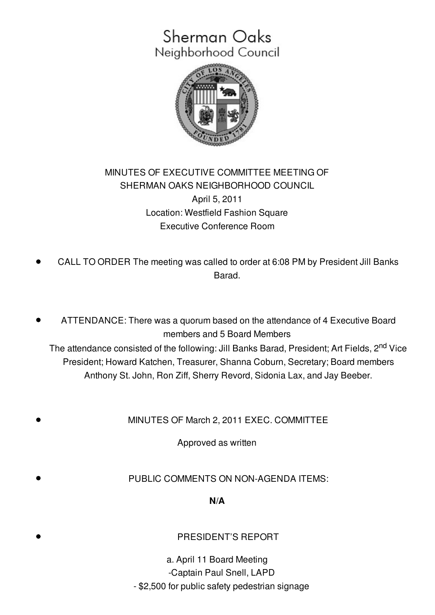## Sherman Oaks Neighborhood Council



## MINUTES OF EXECUTIVE COMMITTEE MEETING OF SHERMAN OAKS NEIGHBORHOOD COUNCIL April 5, 2011 Location: Westfield Fashion Square Executive Conference Room

- CALL TO ORDER The meeting was called to order at 6:08 PM by President Jill Banks Barad.
- ATTENDANCE: There was a quorum based on the attendance of 4 Executive Board members and 5 Board Members

The attendance consisted of the following: Jill Banks Barad, President; Art Fields, 2<sup>nd</sup> Vice President; Howard Katchen, Treasurer, Shanna Coburn, Secretary; Board members Anthony St. John, Ron Ziff, Sherry Revord, Sidonia Lax, and Jay Beeber.

MINUTES OF March 2, 2011 EXEC. COMMITTEE

Approved as written

PUBLIC COMMENTS ON NON-AGENDA ITEMS:

**N/A**

PRESIDENT'S REPORT

a. April 11 Board Meeting -Captain Paul Snell, LAPD - \$2,500 for public safety pedestrian signage